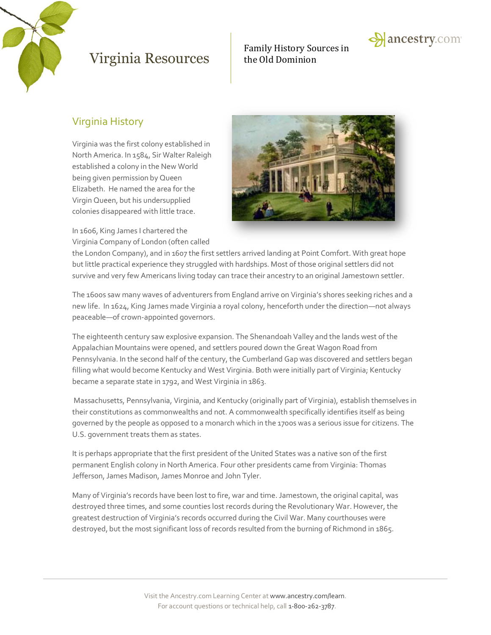

## Family History Sources in



### Virginia History

Virginia was the first colony established in North America. In 1584, Sir Walter Raleigh established a colony in the New World being given permission by Queen Elizabeth. He named the area for the Virgin Queen, but his undersupplied colonies disappeared with little trace.

In 1606, King James I chartered the Virginia Company of London (often called



the London Company), and in 1607 the first settlers arrived landing at Point Comfort. With great hope but little practical experience they struggled with hardships. Most of those original settlers did not survive and very few Americans living today can trace their ancestry to an original Jamestown settler.

The 1600s saw many waves of adventurers from England arrive on Virginia's shores seeking riches and a new life. In 1624, King James made Virginia a royal colony, henceforth under the direction—not always peaceable—of crown-appointed governors.

The eighteenth century saw explosive expansion. The Shenandoah Valley and the lands west of the Appalachian Mountains were opened, and settlers poured down the Great Wagon Road from Pennsylvania. In the second half of the century, the Cumberland Gap was discovered and settlers began filling what would become Kentucky and West Virginia. Both were initially part of Virginia; Kentucky became a separate state in 1792, and West Virginia in 1863.

Massachusetts, Pennsylvania, Virginia, and Kentucky (originally part of Virginia), establish themselves in their constitutions as commonwealths and not. A commonwealth specifically identifies itself as being governed by the people as opposed to a monarch which in the 1700s was a serious issue for citizens. The U.S. government treats them as states.

It is perhaps appropriate that the first president of the United States was a native son of the first permanent English colony in North America. Four other presidents came from Virginia: Thomas Jefferson, James Madison, James Monroe and John Tyler.

Many of Virginia's records have been lost to fire, war and time. Jamestown, the original capital, was destroyed three times, and some counties lost records during the Revolutionary War. However, the greatest destruction of Virginia's records occurred during the Civil War. Many courthouses were destroyed, but the most significant loss of records resulted from the burning of Richmond in 1865.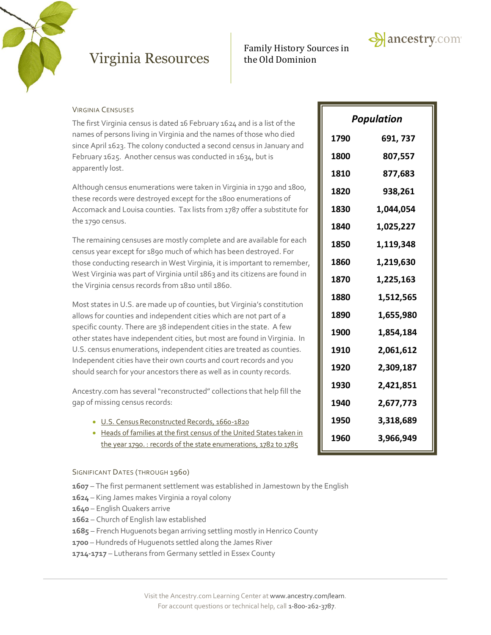

# Family History Sources in



#### VIRGINIA CENSUSES

The first Virginia census is dated 16 February 1624 and is a list of the names of persons living in Virginia and the names of those who died since April 1623. The colony conducted a second census in January and February 1625. Another census was conducted in 1634, but is apparently lost.

Although census enumerations were taken in Virginia in 1790 and 1800, these records were destroyed except for the 1800 enumerations of Accomack and Louisa counties. Tax lists from 1787 offer a substitute for the 1790 census.

The remaining censuses are mostly complete and are available for each census year except for 1890 much of which has been destroyed. For those conducting research in West Virginia, it is important to remember, West Virginia was part of Virginia until 1863 and its citizens are found in the Virginia census records from 1810 until 1860.

Most states in U.S. are made up of counties, but Virginia's constitution allows for counties and independent cities which are not part of a specific county. There are 38 independent cities in the state. A few other states have independent cities, but most are found in Virginia. In U.S. census enumerations, independent cities are treated as counties. Independent cities have their own courts and court records and you should search for your ancestors there as well as in county records.

Ancestry.com has several "reconstructed" collections that help fill the gap of missing census records:

- [U.S. Census Reconstructed Records, 1660-1820](http://search.ancestry.com/search/db.aspx?dbid=2234)
- Heads of families at the first census of the United States taken in [the year 1790. : records of the state enumerations, 1782 to 1785](http://search.ancestry.com/search/db.aspx?dbid=29425)

#### SIGNIFICANT DATES (THROUGH 1960)

- **1607** The first permanent settlement was established in Jamestown by the English **1990 16,986,335**
- **1624** King James makes Virginia a royal colony
- **1640** English Quakers arrive
- **1662** Church of English law established
- **1685** French Huguenots began arriving settling mostly in Henrico County
- **1700** Hundreds of Huguenots settled along the James River
- **1714-1717** Lutherans from Germany settled in Essex County

| Population |           |  |
|------------|-----------|--|
| 1790       | 691, 737  |  |
| 1800       | 807,557   |  |
| 1810       | 877,683   |  |
| 1820       | 938,261   |  |
| 1830       | 1,044,054 |  |
| 1840       | 1,025,227 |  |
| 1850       | 1,119,348 |  |
| 1860       | 1,219,630 |  |
| 1870       | 1,225,163 |  |
| 1880       | 1,512,565 |  |
| 1890       | 1,655,980 |  |
| 1900       | 1,854,184 |  |
| 1910       | 2,061,612 |  |
| 1920       | 2,309,187 |  |
| 1930       | 2,421,851 |  |
| 1940       | 2,677,773 |  |
| 1950       | 3,318,689 |  |
| 1960       | 3,966,949 |  |
|            |           |  |

**1970 11,196,730**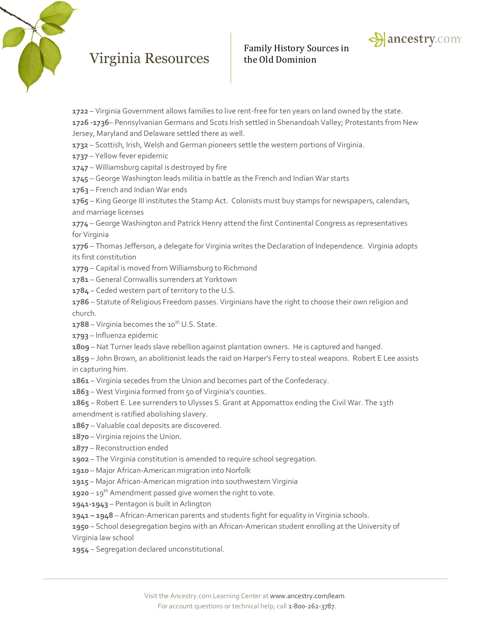



– Virginia Government allows families to live rent-free for ten years on land owned by the state.

**1726 -1736**– Pennsylvanian Germans and Scots Irish settled in Shenandoah Valley; Protestants from New Jersey, Maryland and Delaware settled there as well.

- Scottish, Irish, Welsh and German pioneers settle the western portions of Virginia.
- Yellow fever epidemic
- Williamsburg capital is destroyed by fire
- George Washington leads militia in battle as the French and Indian War starts
- French and Indian War ends

 – King George III institutes the Stamp Act. Colonists must buy stamps for newspapers, calendars, and marriage licenses

 – George Washington and Patrick Henry attend the first Continental Congress as representatives for Virginia

 – Thomas Jefferson, a delegate for Virginia writes the Declaration of Independence. Virginia adopts its first constitution

– Capital is moved from Williamsburg to Richmond

- General Cornwallis surrenders at Yorktown
- Ceded western part of territory to the U.S.

 – Statute of Religious Freedom passes. Virginians have the right to choose their own religion and church.

- **1788** Virginia becomes the 10<sup>th</sup> U.S. State.
- Influenza epidemic
- Nat Turner leads slave rebellion against plantation owners. He is captured and hanged.
- John Brown, an abolitionist leads the raid on Harper's Ferry to steal weapons. Robert E Lee assists in capturing him.
- Virginia secedes from the Union and becomes part of the Confederacy.
- West Virginia formed from 50 of Virginia's counties.
- Robert E. Lee surrenders to Ulysses S. Grant at Appomattox ending the Civil War. The 13th amendment is ratified abolishing slavery.
- Valuable coal deposits are discovered.
- Virginia rejoins the Union.
- Reconstruction ended
- The Virginia constitution is amended to require school segregation.
- Major African-American migration into Norfolk
- Major African-American migration into southwestern Virginia
- **1920** 19<sup>th</sup> Amendment passed give women the right to vote.
- **1941-1943** Pentagon is built in Arlington
- **– 1948** African-American parents and students fight for equality in Virginia schools.
- School desegregation begins with an African-American student enrolling at the University of Virginia law school
- Segregation declared unconstitutional.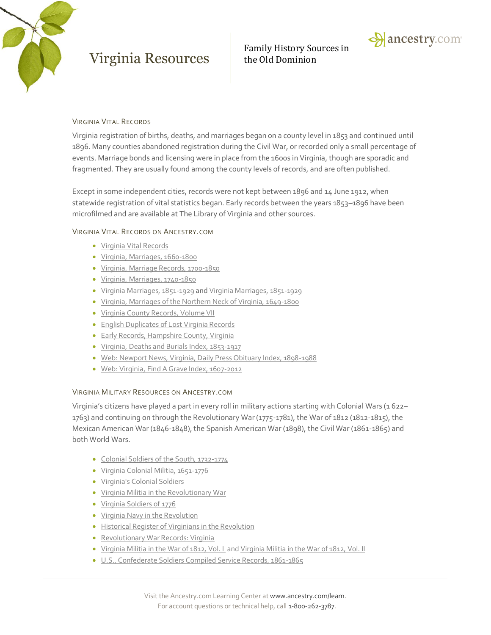

Family History Sources in



#### VIRGINIA VITAL RECORDS

Virginia registration of births, deaths, and marriages began on a county level in 1853 and continued until 1896. Many counties abandoned registration during the Civil War, or recorded only a small percentage of events. Marriage bonds and licensing were in place from the 1600s in Virginia, though are sporadic and fragmented. They are usually found among the county levels of records, and are often published.

Except in some independent cities, records were not kept between 1896 and 14 June 1912, when statewide registration of vital statistics began. Early records between the years 1853–1896 have been microfilmed and are available at The Library of Virginia and other sources.

#### VIRGINIA VITAL RECORDS ON ANCESTRY.COM

- [Virginia Vital Records](http://search.ancestry.com/search/db.aspx?dbid=48647)
- [Virginia, Marriages, 1660-1800](http://search.ancestry.com/search/db.aspx?dbid=3002)
- [Virginia, Marriage Records, 1700-1850](http://search.ancestry.com/search/db.aspx?dbid=3143)
- [Virginia, Marriages, 1740-1850](http://search.ancestry.com/search/db.aspx?dbid=3723)
- [Virginia Marriages, 1851-1929](http://search.ancestry.com/search/db.aspx?dbid=4498) an[d Virginia Marriages, 1851-1929](http://search.ancestry.com/search/db.aspx?dbid=3976)
- [Virginia, Marriages of the Northern Neck of Virginia, 1649-1800](http://search.ancestry.com/search/db.aspx?dbid=5063)
- **.** [Virginia County Records, Volume VII](http://search.ancestry.com/search/db.aspx?dbid=6286)
- **[English Duplicates of Lost Virginia Records](http://search.ancestry.com/search/db.aspx?dbid=48412)**
- **[Early Records, Hampshire County, Virginia](http://search.ancestry.com/search/db.aspx?dbid=48416)**
- [Virginia, Deaths and Burials Index, 1853-1917](http://search.ancestry.com/search/db.aspx?dbid=2558)
- [Web: Newport News, Virginia, Daily Press Obituary Index, 1898-1988](http://search.ancestry.com/search/db.aspx?dbid=70484)
- [Web: Virginia, Find A Grave Index, 1607-2012](http://search.ancestry.com/search/db.aspx?dbid=70635)

#### VIRGINIA MILITARY RESOURCES ON ANCESTRY.COM

Virginia's citizens have played a part in every roll in military actions starting with Colonial Wars (1 622– 1763) and continuing on through the Revolutionary War (1775-1781), the War of 1812 (1812-1815), the Mexican American War (1846-1848), the Spanish American War (1898), the Civil War (1861-1865) and both World Wars.

- [Colonial Soldiers of the South, 1732-1774](http://search.ancestry.com/search/db.aspx?dbid=49108)
- [Virginia Colonial Militia, 1651-1776](http://search.ancestry.com/search/db.aspx?dbid=4596)
- [Virginia's Colonial Soldiers](http://search.ancestry.com/search/db.aspx?dbid=48434)
- [Virginia Militia in the Revolutionary War](http://search.ancestry.com/search/db.aspx?dbid=3076)
- [Virginia Soldiers of 1776](http://search.ancestry.com/search/db.aspx?dbid=48645)
- [Virginia Navy in the Revolution](http://search.ancestry.com/search/db.aspx?dbid=3196)
- **[Historical Register of Virginians in the Revolution](http://search.ancestry.com/search/db.aspx?dbid=48423)**
- **[Revolutionary War Records: Virginia](http://search.ancestry.com/search/db.aspx?dbid=48615)**
- [Virginia Militia in the War of 1812, Vol. I](http://search.ancestry.com/search/db.aspx?dbid=48441) and [Virginia Militia in the War of 1812, Vol. II](http://search.ancestry.com/search/db.aspx?dbid=48442)
- [U.S., Confederate Soldiers Compiled Service Records, 1861-1865](http://search.ancestry.com/search/db.aspx?dbid=2322)